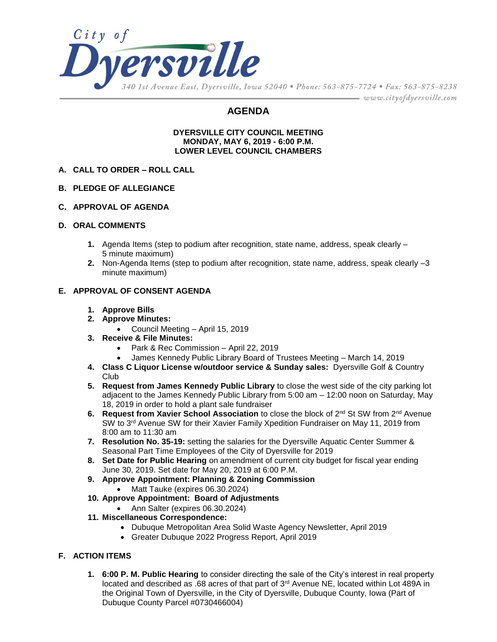

# **AGENDA**

#### **DYERSVILLE CITY COUNCIL MEETING MONDAY, MAY 6, 2019 - 6:00 P.M. LOWER LEVEL COUNCIL CHAMBERS**

- **A. CALL TO ORDER – ROLL CALL**
- **B. PLEDGE OF ALLEGIANCE**
- **C. APPROVAL OF AGENDA**

### **D. ORAL COMMENTS**

- **1.** Agenda Items (step to podium after recognition, state name, address, speak clearly 5 minute maximum)
- **2.** Non-Agenda Items (step to podium after recognition, state name, address, speak clearly –3 minute maximum)

### **E. APPROVAL OF CONSENT AGENDA**

- **1. Approve Bills**
- **2. Approve Minutes:**
	- Council Meeting April 15, 2019
- **3. Receive & File Minutes:**
	- Park & Rec Commission April 22, 2019
	- James Kennedy Public Library Board of Trustees Meeting March 14, 2019
- **4. Class C Liquor License w/outdoor service & Sunday sales:** Dyersville Golf & Country Club
- **5. Request from James Kennedy Public Library** to close the west side of the city parking lot adjacent to the James Kennedy Public Library from 5:00 am – 12:00 noon on Saturday, May 18, 2019 in order to hold a plant sale fundraiser
- **6. Request from Xavier School Association** to close the block of 2nd St SW from 2nd Avenue SW to 3<sup>rd</sup> Avenue SW for their Xavier Family Xpedition Fundraiser on May 11, 2019 from 8:00 am to 11:30 am
- **7. Resolution No. 35-19:** setting the salaries for the Dyersville Aquatic Center Summer & Seasonal Part Time Employees of the City of Dyersville for 2019
- **8. Set Date for Public Hearing** on amendment of current city budget for fiscal year ending June 30, 2019. Set date for May 20, 2019 at 6:00 P.M.
- **9. Approve Appointment: Planning & Zoning Commission**
	- Matt Tauke (expires 06.30.2024)
- **10. Approve Appointment: Board of Adjustments**
	- Ann Salter (expires 06.30.2024)
- **11. Miscellaneous Correspondence:**
	- Dubuque Metropolitan Area Solid Waste Agency Newsletter, April 2019
	- Greater Dubuque 2022 Progress Report, April 2019

### **F. ACTION ITEMS**

**1. 6:00 P. M. Public Hearing** to consider directing the sale of the City's interest in real property located and described as .68 acres of that part of 3<sup>rd</sup> Avenue NE, located within Lot 489A in the Original Town of Dyersville, in the City of Dyersville, Dubuque County, Iowa (Part of Dubuque County Parcel #0730466004)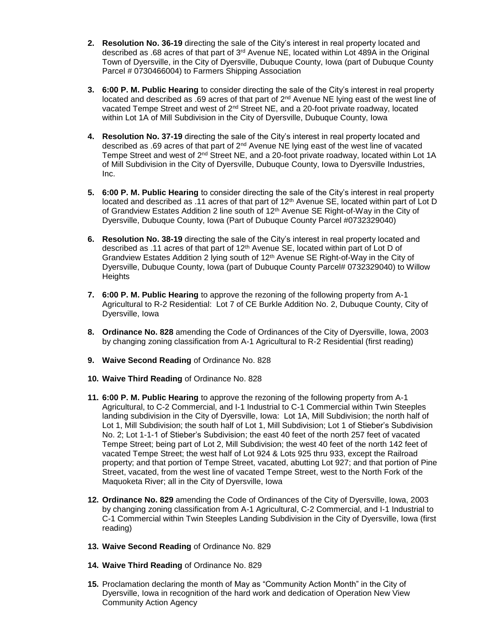- **2. Resolution No. 36-19** directing the sale of the City's interest in real property located and described as .68 acres of that part of 3rd Avenue NE, located within Lot 489A in the Original Town of Dyersville, in the City of Dyersville, Dubuque County, Iowa (part of Dubuque County Parcel # 0730466004) to Farmers Shipping Association
- **3. 6:00 P. M. Public Hearing** to consider directing the sale of the City's interest in real property located and described as .69 acres of that part of  $2<sup>nd</sup>$  Avenue NE lying east of the west line of vacated Tempe Street and west of  $2^{nd}$  Street NE, and a 20-foot private roadway, located within Lot 1A of Mill Subdivision in the City of Dyersville, Dubuque County, Iowa
- **4. Resolution No. 37-19** directing the sale of the City's interest in real property located and described as .69 acres of that part of 2nd Avenue NE lying east of the west line of vacated Tempe Street and west of 2<sup>nd</sup> Street NE, and a 20-foot private roadway, located within Lot 1A of Mill Subdivision in the City of Dyersville, Dubuque County, Iowa to Dyersville Industries, Inc.
- **5. 6:00 P. M. Public Hearing** to consider directing the sale of the City's interest in real property located and described as .11 acres of that part of 12<sup>th</sup> Avenue SE, located within part of Lot D of Grandview Estates Addition 2 line south of 12<sup>th</sup> Avenue SE Right-of-Way in the City of Dyersville, Dubuque County, Iowa (Part of Dubuque County Parcel #0732329040)
- **6. Resolution No. 38-19** directing the sale of the City's interest in real property located and described as .11 acres of that part of 12th Avenue SE, located within part of Lot D of Grandview Estates Addition 2 lying south of  $12<sup>th</sup>$  Avenue SE Right-of-Way in the City of Dyersville, Dubuque County, Iowa (part of Dubuque County Parcel# 0732329040) to Willow **Heights**
- **7. 6:00 P. M. Public Hearing** to approve the rezoning of the following property from A-1 Agricultural to R-2 Residential: Lot 7 of CE Burkle Addition No. 2, Dubuque County, City of Dyersville, Iowa
- **8. Ordinance No. 828** amending the Code of Ordinances of the City of Dyersville, Iowa, 2003 by changing zoning classification from A-1 Agricultural to R-2 Residential (first reading)
- **9. Waive Second Reading** of Ordinance No. 828
- **10. Waive Third Reading** of Ordinance No. 828
- **11. 6:00 P. M. Public Hearing** to approve the rezoning of the following property from A-1 Agricultural, to C-2 Commercial, and I-1 Industrial to C-1 Commercial within Twin Steeples landing subdivision in the City of Dyersville, Iowa: Lot 1A, Mill Subdivision; the north half of Lot 1, Mill Subdivision; the south half of Lot 1, Mill Subdivision; Lot 1 of Stieber's Subdivision No. 2; Lot 1-1-1 of Stieber's Subdivision; the east 40 feet of the north 257 feet of vacated Tempe Street; being part of Lot 2, Mill Subdivision; the west 40 feet of the north 142 feet of vacated Tempe Street; the west half of Lot 924 & Lots 925 thru 933, except the Railroad property; and that portion of Tempe Street, vacated, abutting Lot 927; and that portion of Pine Street, vacated, from the west line of vacated Tempe Street, west to the North Fork of the Maquoketa River; all in the City of Dyersville, Iowa
- **12. Ordinance No. 829** amending the Code of Ordinances of the City of Dyersville, Iowa, 2003 by changing zoning classification from A-1 Agricultural, C-2 Commercial, and I-1 Industrial to C-1 Commercial within Twin Steeples Landing Subdivision in the City of Dyersville, Iowa (first reading)
- **13. Waive Second Reading** of Ordinance No. 829
- **14. Waive Third Reading** of Ordinance No. 829
- **15.** Proclamation declaring the month of May as "Community Action Month" in the City of Dyersville, Iowa in recognition of the hard work and dedication of Operation New View Community Action Agency